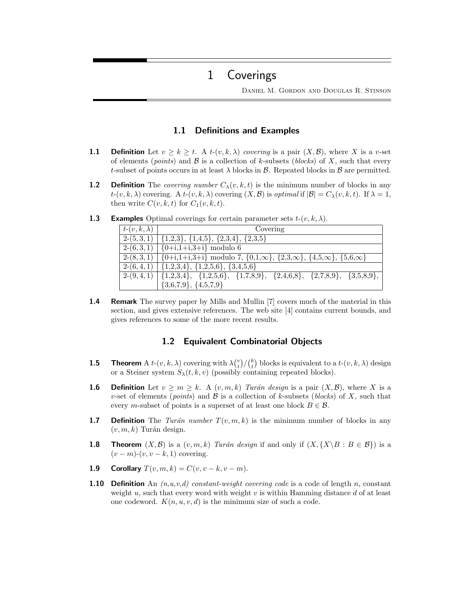# 1 Coverings

Daniel M. Gordon and Douglas R. Stinson

## 1.1 Definitions and Examples

- **1.1** Definition Let  $v \ge k \ge t$ . A  $t(v, k, \lambda)$  covering is a pair  $(X, \mathcal{B})$ , where X is a v-set of elements (*points*) and  $\beta$  is a collection of k-subsets (*blocks*) of X, such that every t-subset of points occurs in at least  $\lambda$  blocks in  $\beta$ . Repeated blocks in  $\beta$  are permitted.
- **1.2** Definition The *covering number*  $C_{\lambda}(v, k, t)$  is the minimum number of blocks in any  $t-(v, k, \lambda)$  covering. A  $t-(v, k, \lambda)$  covering  $(X, \mathcal{B})$  is *optimal* if  $|\mathcal{B}| = C_{\lambda}(v, k, t)$ . If  $\lambda = 1$ , then write  $C(v, k, t)$  for  $C_1(v, k, t)$ .

| $t-(v,k,\lambda)$ | Covering                                                                                                    |
|-------------------|-------------------------------------------------------------------------------------------------------------|
|                   | $2-(5,3,1)   \{1,2,3\}, \{1,4,5\}, \{2,3,4\}, \{2,3,5\}$                                                    |
|                   | $2-(6,3,1)   {0+i,1+i,3+i} \text{ modulo } 6$                                                               |
|                   | $2-(8,3,1)$ {0+i,1+i,3+i} modulo 7, {0,1, $\infty$ }, {2,3, $\infty$ }, {4,5, $\infty$ }, {5,6, $\infty$ }  |
|                   | $2-(6,4,1)   \{1,2,3,4\}, \{1,2,5,6\}, \{3,4,5,6\}$                                                         |
|                   | $2-(9,4,1)$ $\{1,2,3,4\}$ , $\{1,2,5,6\}$ , $\{1,7,8,9\}$ , $\{2,4,6,8\}$ , $\{2,7,8,9\}$ , $\{3,5,8,9\}$ , |
|                   | ${3,6,7,9}, {4,5,7,9}$                                                                                      |

**1.3** Examples Optimal coverings for certain parameter sets  $t-(v, k, \lambda)$ .

**1.4 Remark** The survey paper by Mills and Mullin [7] covers much of the material in this section, and gives extensive references. The web site [4] contains current bounds, and gives references to some of the more recent results.

## 1.2 Equivalent Combinatorial Objects

- **1.5** Theorem A  $t$ - $(v, k, \lambda)$  covering with  $\lambda {v \choose t}/ {k \choose t}$  blocks is equivalent to a  $t$ - $(v, k, \lambda)$  design or a Steiner system  $S_{\lambda}(t, k, v)$  (possibly containing repeated blocks).
- **1.6** Definition Let  $v \geq m \geq k$ . A  $(v, m, k)$  Turán design is a pair  $(X, \mathcal{B})$ , where X is a v-set of elements (*points*) and  $\beta$  is a collection of k-subsets (*blocks*) of X, such that every m-subset of points is a superset of at least one block  $B \in \mathcal{B}$ .
- **1.7** Definition The Turán number  $T(v, m, k)$  is the minimum number of blocks in any  $(v, m, k)$  Turán design.
- **1.8** Theorem  $(X, \mathcal{B})$  is a  $(v, m, k)$  Turán design if and only if  $(X, \{X \mid B : B \in \mathcal{B}\})$  is a  $(v - m)-(v, v - k, 1)$  covering.
- 1.9 Corollary  $T(v, m, k) = C(v, v k, v m)$ .
- **1.10 Definition** An  $(n, u, v, d)$  constant-weight covering code is a code of length n, constant weight u, such that every word with weight v is within Hamming distance d of at least one codeword.  $K(n, u, v, d)$  is the minimum size of such a code.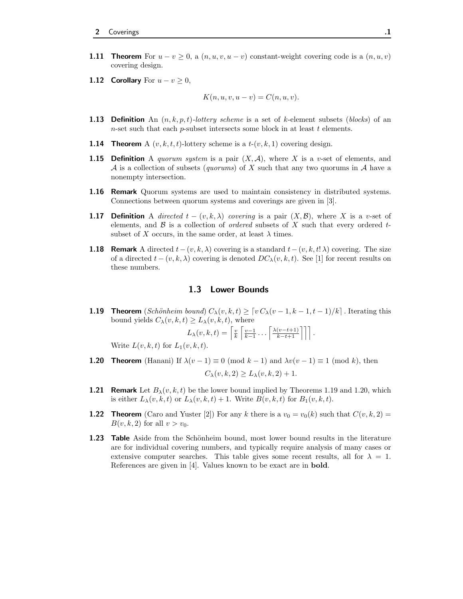- **1.11 Theorem** For  $u v \ge 0$ , a  $(n, u, v, u v)$  constant-weight covering code is a  $(n, u, v)$ covering design.
- 1.12 Corollary For  $u v \geq 0$ ,

$$
K(n, u, v, u - v) = C(n, u, v).
$$

- **1.13 Definition** An  $(n, k, p, t)$ -lottery scheme is a set of k-element subsets (blocks) of an n-set such that each  $p$ -subset intersects some block in at least  $t$  elements.
- **1.14 Theorem** A  $(v, k, t, t)$ -lottery scheme is a  $t-(v, k, 1)$  covering design.
- **1.15 Definition** A quorum system is a pair  $(X, \mathcal{A})$ , where X is a v-set of elements, and A is a collection of subsets (quorums) of X such that any two quorums in A have a nonempty intersection.
- 1.16 Remark Quorum systems are used to maintain consistency in distributed systems. Connections between quorum systems and coverings are given in [3].
- **1.17 Definition** A directed  $t (v, k, \lambda)$  covering is a pair  $(X, \mathcal{B})$ , where X is a v-set of elements, and  $\beta$  is a collection of *ordered* subsets of X such that every ordered tsubset of X occurs, in the same order, at least  $\lambda$  times.
- **1.18 Remark** A directed  $t-(v, k, \lambda)$  covering is a standard  $t-(v, k, t! \lambda)$  covering. The size of a directed  $t - (v, k, \lambda)$  covering is denoted  $DC_{\lambda}(v, k, t)$ . See [1] for recent results on these numbers.

#### 1.3 Lower Bounds

**1.19** Theorem (Schönheim bound)  $C_{\lambda}(v, k, t) \geq [v C_{\lambda}(v - 1, k - 1, t - 1)/k]$ . Iterating this bound yields  $C_{\lambda}(v, k, t) \ge L_{\lambda}(v, k, t)$ , where

$$
L_{\lambda}(v,k,t) = \left\lceil \frac{v}{k} \left\lceil \frac{v-1}{k-1} \dots \left\lceil \frac{\lambda(v-t+1)}{k-t+1} \right\rceil \right\rceil \right\rceil.
$$

Write  $L(v, k, t)$  for  $L_1(v, k, t)$ .

- **1.20 Theorem** (Hanani) If  $\lambda(v-1) \equiv 0 \pmod{k-1}$  and  $\lambda v(v-1) \equiv 1 \pmod{k}$ , then  $C_{\lambda}(v, k, 2) > L_{\lambda}(v, k, 2) + 1.$
- **1.21 Remark** Let  $B_{\lambda}(v, k, t)$  be the lower bound implied by Theorems 1.19 and 1.20, which is either  $L_\lambda(v, k, t)$  or  $L_\lambda(v, k, t) + 1$ . Write  $B(v, k, t)$  for  $B_1(v, k, t)$ .
- **1.22 Theorem** (Caro and Yuster [2]) For any k there is a  $v_0 = v_0(k)$  such that  $C(v, k, 2) =$  $B(v, k, 2)$  for all  $v > v_0$ .
- **1.23** Table Aside from the Schönheim bound, most lower bound results in the literature are for individual covering numbers, and typically require analysis of many cases or extensive computer searches. This table gives some recent results, all for  $\lambda = 1$ . References are given in [4]. Values known to be exact are in bold.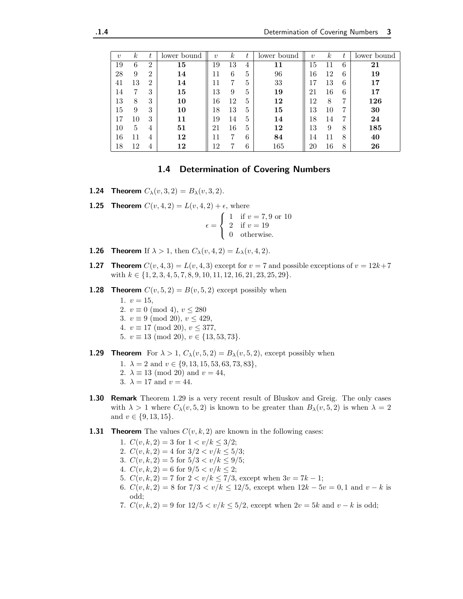| $\boldsymbol{v}$ | $\kappa$ | t              | lower bound | $\boldsymbol{\eta}$ | $\kappa$ |   | lower bound | $\eta$ | $\kappa$ | t | lower bound |
|------------------|----------|----------------|-------------|---------------------|----------|---|-------------|--------|----------|---|-------------|
| 19               | 6        | $\overline{2}$ | 15          | 19                  | 13       | 4 | 11          | 15     | 11       | 6 | 21          |
| 28               | 9        | $\overline{2}$ | 14          | 11                  | 6        | 5 | 96          | 16     | 12       | 6 | 19          |
| 41               | 13       | $\overline{2}$ | 14          |                     |          | 5 | 33          | 17     | 13       | 6 | 17          |
| 14               | 7        | 3              | 15          | 13                  | 9        | 5 | 19          | 21     | 16       | 6 | 17          |
| 13               | 8        | 3              | 10          | 16                  | 12       | 5 | 12          | 12     | 8        | 7 | 126         |
| 15               | 9        | 3              | 10          | 18                  | 13       | 5 | 15          | 13     | 10       | 7 | 30          |
| 17               | 10       | 3              | 11          | 19                  | 14       | 5 | 14          | 18     | 14       | 7 | 24          |
| 10               | 5        | 4              | 51          | 21                  | 16       | 5 | 12          | 13     | 9        | 8 | 185         |
| 16               | 11       | 4              | 12          |                     |          | 6 | 84          | 14     | 11       | 8 | 40          |
| 18               | 12       | 4              | 12          | 12                  |          | 6 | 165         | 20     | 16       | 8 | 26          |

#### 1.4 Determination of Covering Numbers

**1.24 Theorem**  $C_{\lambda}(v, 3, 2) = B_{\lambda}(v, 3, 2)$ .

**1.25 Theorem**  $C(v, 4, 2) = L(v, 4, 2) + \epsilon$ , where

 $\epsilon =$  $\sqrt{ }$ Į  $\mathcal{L}$ 1 if  $v = 7, 9$  or 10 2 if  $v = 19$ 0 otherwise.

- **1.26 Theorem** If  $\lambda > 1$ , then  $C_{\lambda}(v, 4, 2) = L_{\lambda}(v, 4, 2)$ .
- **1.27 Theorem**  $C(v, 4, 3) = L(v, 4, 3)$  except for  $v = 7$  and possible exceptions of  $v = 12k+7$ with  $k \in \{1, 2, 3, 4, 5, 7, 8, 9, 10, 11, 12, 16, 21, 23, 25, 29\}.$
- **1.28 Theorem**  $C(v, 5, 2) = B(v, 5, 2)$  except possibly when
	- 1.  $v = 15$ , 2.  $v \equiv 0 \pmod{4}$ ,  $v \le 280$
	-
	- 3.  $v \equiv 9 \pmod{20}$ ,  $v \leq 429$ ,
	- 4.  $v \equiv 17 \pmod{20}$ ,  $v \leq 377$ ,
	- 5.  $v \equiv 13 \pmod{20}$ ,  $v \in \{13, 53, 73\}$ .
- **1.29 Theorem** For  $\lambda > 1$ ,  $C_{\lambda}(v, 5, 2) = B_{\lambda}(v, 5, 2)$ , except possibly when
	- 1.  $\lambda = 2$  and  $v \in \{9, 13, 15, 53, 63, 73, 83\},\$
	- 2.  $\lambda \equiv 13 \pmod{20}$  and  $v = 44$ ,
	- 3.  $\lambda = 17$  and  $v = 44$ .
- **1.30 Remark** Theorem 1.29 is a very recent result of Bluskov and Greig. The only cases with  $\lambda > 1$  where  $C_{\lambda}(v, 5, 2)$  is known to be greater than  $B_{\lambda}(v, 5, 2)$  is when  $\lambda = 2$ and  $v \in \{9, 13, 15\}.$
- **1.31 Theorem** The values  $C(v, k, 2)$  are known in the following cases:
	- 1.  $C(v, k, 2) = 3$  for  $1 < v/k < 3/2$ ;
	- 2.  $C(v, k, 2) = 4$  for  $3/2 < v/k \le 5/3$ ;
	- 3.  $C(v, k, 2) = 5$  for  $5/3 < v/k \le 9/5$ ;
	- 4.  $C(v, k, 2) = 6$  for  $9/5 < v/k \le 2$ ;
	- 5.  $C(v, k, 2) = 7$  for  $2 < v/k \le 7/3$ , except when  $3v = 7k 1$ ;
	- 6.  $C(v, k, 2) = 8$  for  $7/3 < v/k \le 12/5$ , except when  $12k 5v = 0, 1$  and  $v k$  is odd;
	- 7.  $C(v, k, 2) = 9$  for  $12/5 < v/k \le 5/2$ , except when  $2v = 5k$  and  $v k$  is odd;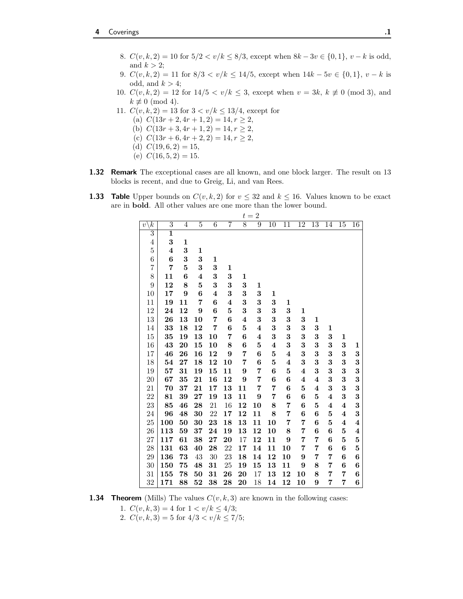- 8.  $C(v, k, 2) = 10$  for  $5/2 < v/k \le 8/3$ , except when  $8k 3v \in \{0, 1\}$ ,  $v k$  is odd, and  $k > 2$ ;
- 9.  $C(v, k, 2) = 11$  for  $8/3 < v/k \le 14/5$ , except when  $14k 5v \in \{0, 1\}$ ,  $v k$  is odd, and  $k > 4$ ;
- 10.  $C(v, k, 2) = 12$  for  $14/5 < v/k \le 3$ , except when  $v = 3k, k \neq 0 \pmod{3}$ , and  $k \not\equiv 0 \pmod{4}$ .
- 11.  $C(v, k, 2) = 13$  for  $3 < v/k \le 13/4$ , except for
	- (a)  $C(13r+2, 4r+1, 2) = 14, r \ge 2$ ,
	- (b)  $C(13r+3, 4r+1, 2) = 14, r \ge 2$ ,
	- (c)  $C(13r+6, 4r+2, 2) = 14, r \ge 2$ ,
	- (d)  $C(19, 6, 2) = 15$ ,
	- (e)  $C(16, 5, 2) = 15$ .
- 1.32 Remark The exceptional cases are all known, and one block larger. The result on 13 blocks is recent, and due to Greig, Li, and van Rees.
- **1.33 Table** Upper bounds on  $C(v, k, 2)$  for  $v \le 32$  and  $k \le 16$ . Values known to be exact are in bold. All other values are one more than the lower bound.

|                              |                         |                  |                |                         |                  |                         | $t=2$                   |                         |                         |                         |                         |                         |                         |                 |
|------------------------------|-------------------------|------------------|----------------|-------------------------|------------------|-------------------------|-------------------------|-------------------------|-------------------------|-------------------------|-------------------------|-------------------------|-------------------------|-----------------|
| $\overline{k}$<br>$\upsilon$ | $\overline{3}$          | $\overline{4}$   | $\overline{5}$ | $\overline{6}$          | $\overline{7}$   | $\overline{8}$          | $\overline{9}$          | $\overline{10}$         | $\overline{11}$         | $\overline{12}$         | $\overline{13}$         | $\overline{14}$         | $\overline{15}$         | $\overline{16}$ |
| $\overline{3}$               | $\mathbf{1}$            |                  |                |                         |                  |                         |                         |                         |                         |                         |                         |                         |                         |                 |
| $\overline{4}$               | 3                       | 1                |                |                         |                  |                         |                         |                         |                         |                         |                         |                         |                         |                 |
| $\overline{5}$               | $\overline{\mathbf{4}}$ | 3                | 1              |                         |                  |                         |                         |                         |                         |                         |                         |                         |                         |                 |
| $\overline{6}$               | 6                       | 3                | 3              | $\mathbf{1}$            |                  |                         |                         |                         |                         |                         |                         |                         |                         |                 |
| $\overline{7}$               | 7                       | $\overline{5}$   | 3              | 3                       | $\mathbf 1$      |                         |                         |                         |                         |                         |                         |                         |                         |                 |
| 8                            | 11                      | 6                | 4              | $\bf{3}$                | 3                | 1                       |                         |                         |                         |                         |                         |                         |                         |                 |
| 9                            | 12                      | 8                | 5              | 3                       | 3                | 3                       | $\mathbf{1}$            |                         |                         |                         |                         |                         |                         |                 |
| 10                           | 17                      | $\boldsymbol{9}$ | 6              | $\overline{\mathbf{4}}$ | 3                | 3                       | 3                       | 1                       |                         |                         |                         |                         |                         |                 |
| 11                           | 19                      | 11               | 7              | $\bf{6}$                | 4                | 3                       | 3                       | 3                       | 1                       |                         |                         |                         |                         |                 |
| 12                           | 24                      | 12               | 9              | $\bf{6}$                | 5                | 3                       | 3                       | 3                       | 3                       | $\mathbf{1}$            |                         |                         |                         |                 |
| 13                           | 26                      | 13               | 10             | 7                       | 6                | $\overline{\mathbf{4}}$ | $\bf{3}$                | 3                       | 3                       | 3                       | $\mathbf{1}$            |                         |                         |                 |
| 14                           | 33                      | 18               | 12             | 7                       | 6                | $\bf{5}$                | $\overline{\mathbf{4}}$ | $\bf{3}$                | $\bf{3}$                | 3                       | 3                       | 1                       |                         |                 |
| 15                           | 35                      | 19               | 13             | 10                      | 7                | $\boldsymbol{6}$        | $\overline{\mathbf{4}}$ | $\bf{3}$                | 3                       | 3                       | 3                       | 3                       | $\mathbf{1}$            |                 |
| 16                           | 43                      | 20               | 15             | 10                      | 8                | 6                       | 5                       | $\overline{\mathbf{4}}$ | 3                       | 3                       | 3                       | 3                       | 3                       | 1               |
| 17                           | 46                      | 26               | 16             | 12                      | $\boldsymbol{9}$ | $\overline{7}$          | $\bf{6}$                | $\overline{5}$          | $\boldsymbol{4}$        | 3                       | 3                       | 3                       | 3                       | $\bf{3}$        |
| 18                           | 54                      | 27               | 18             | 12                      | 10               | 7                       | $\bf{6}$                | $\overline{5}$          | $\overline{\mathbf{4}}$ | 3                       | 3                       | 3                       | 3                       | $\bf{3}$        |
| 19                           | 57                      | 31               | 19             | 15                      | 11               | 9                       | 7                       | $\bf{6}$                | $\overline{5}$          | $\overline{\mathbf{4}}$ | 3                       | 3                       | 3                       | $\bf{3}$        |
| 20                           | 67                      | 35               | 21             | 16                      | 12               | 9                       | 7                       | $\bf{6}$                | 6                       | $\boldsymbol{4}$        | $\boldsymbol{4}$        | 3                       | 3                       | $\bf{3}$        |
| 21                           | 70                      | 37               | 21             | 17                      | 13               | 11                      | 7                       | 7                       | $\bf{6}$                | $\overline{5}$          | $\overline{\mathbf{4}}$ | 3                       | 3                       | 3               |
| 22                           | 81                      | 39               | 27             | 19                      | 13               | 11                      | $\boldsymbol{9}$        | 7                       | 6                       | $\bf{6}$                | $\overline{5}$          | $\overline{\mathbf{4}}$ | 3                       | $\bf{3}$        |
| 23                           | 85                      | 46               | 28             | 21                      | 16               | 12                      | 10                      | 8                       | 7                       | $\bf{6}$                | $\overline{5}$          | $\boldsymbol{4}$        | $\boldsymbol{4}$        | $\bf{3}$        |
| 24                           | 96                      | 48               | 30             | 22                      | 17               | 12                      | 11                      | 8                       | 7                       | $\bf{6}$                | $\bf{6}$                | $\overline{5}$          | $\overline{\mathbf{4}}$ | 3               |
| 25                           | 100                     | 50               | 30             | 23                      | 18               | 13                      | 11                      | 10                      | 7                       | 7                       | 6                       | 5                       | $\bf{4}$                | $\bf{4}$        |
| 26                           | 113                     | 59               | 37             | 24                      | 19               | 13                      | 12                      | 10                      | 8                       | 7                       | 6                       | $\bf{6}$                | $\bf{5}$                | $\bf{4}$        |
| 27                           | 117                     | 61               | 38             | 27                      | 20               | 17                      | 12                      | 11                      | 9                       | 7                       | $\overline{7}$          | $\bf{6}$                | $\bf{5}$                | $\bf{5}$        |
| 28                           | 131                     | 63               | 40             | 28                      | 22               | 17                      | 14                      | 11                      | 10                      | 7                       | $\overline{7}$          | $\bf{6}$                | 6                       | $\bf{5}$        |
| 29                           | 136                     | 73               | 43             | 30                      | 23               | 18                      | 14                      | 12                      | 10                      | 9                       | $\overline{7}$          | 7                       | 6                       | 6               |
| 30                           | 150                     | 75               | 48             | 31                      | 25               | 19                      | 15                      | 13                      | 11                      | 9                       | 8                       | 7                       | $\bf{6}$                | $\bf{6}$        |
| 31                           | 155                     | 78               | 50             | 31                      | 26               | $\overline{20}$         | 17                      | 13                      | 12                      | 10                      | 8                       | 7                       | $\overline{7}$          | $\bf{6}$        |
| 32                           | 171                     | 88               | 52             | 38                      | 28               | $\overline{20}$         | 18                      | 14                      | 12                      | 10                      | 9                       | 7                       | 7                       | 6               |

**1.34 Theorem** (Mills) The values  $C(v, k, 3)$  are known in the following cases:

1.  $C(v, k, 3) = 4$  for  $1 < v/k \leq 4/3$ ;

2.  $C(v, k, 3) = 5$  for  $4/3 < v/k \le 7/5$ ;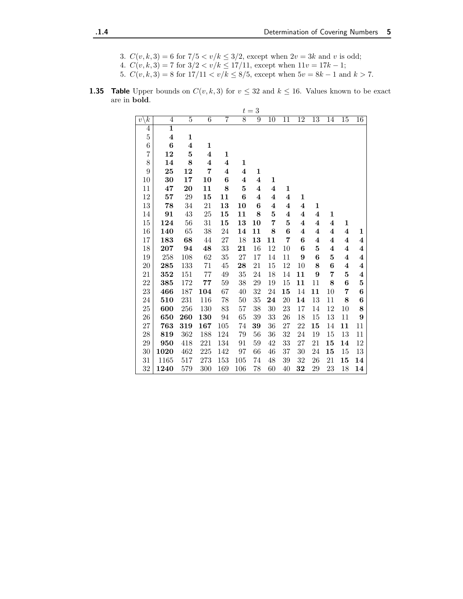- 3.  $C(v, k, 3) = 6$  for  $7/5 < v/k \le 3/2$ , except when  $2v = 3k$  and v is odd;
- 4.  $C(v, k, 3) = 7$  for  $3/2 < v/k \le 17/11$ , except when  $11v = 17k 1$ ;
- 5.  $C(v, k, 3) = 8$  for  $17/11 < v/k \le 8/5$ , except when  $5v = 8k 1$  and  $k > 7$ .
- **1.35 Table** Upper bounds on  $C(v, k, 3)$  for  $v \le 32$  and  $k \le 16$ . Values known to be exact are in bold.

|                                |                         |                  |                  |                         |                  | $t=3$            |                         |                         |                  |                         |                         |                  |                  |
|--------------------------------|-------------------------|------------------|------------------|-------------------------|------------------|------------------|-------------------------|-------------------------|------------------|-------------------------|-------------------------|------------------|------------------|
| $\overline{k}$<br>$v^{\prime}$ | $\overline{4}$          | $\overline{5}$   | $\overline{6}$   | $\overline{7}$          | $\overline{8}$   | $\overline{9}$   | $\overline{10}$         | $\overline{11}$         | $\overline{12}$  | $\overline{13}$         | $\overline{14}$         | $\overline{15}$  | $\overline{16}$  |
| $\overline{4}$                 | $\overline{1}$          |                  |                  |                         |                  |                  |                         |                         |                  |                         |                         |                  |                  |
| $\overline{5}$                 | $\overline{\mathbf{4}}$ | $\mathbf{1}$     |                  |                         |                  |                  |                         |                         |                  |                         |                         |                  |                  |
| $\;6\;$                        | $\bf{6}$                | $\boldsymbol{4}$ | $\mathbf 1$      |                         |                  |                  |                         |                         |                  |                         |                         |                  |                  |
| $\overline{7}$                 | 12                      | $\bf{5}$         | 4                | $\mathbf{1}$            |                  |                  |                         |                         |                  |                         |                         |                  |                  |
| 8                              | 14                      | 8                | $\boldsymbol{4}$ | $\boldsymbol{4}$        | 1                |                  |                         |                         |                  |                         |                         |                  |                  |
| 9                              | 25                      | 12               | 7                | $\overline{\mathbf{4}}$ | $\boldsymbol{4}$ | 1                |                         |                         |                  |                         |                         |                  |                  |
| 10                             | 30                      | 17               | 10               | $\bf{6}$                | $\boldsymbol{4}$ | $\boldsymbol{4}$ | 1                       |                         |                  |                         |                         |                  |                  |
| 11                             | 47                      | 20               | 11               | 8                       | 5                | $\boldsymbol{4}$ | $\overline{\mathbf{4}}$ | $\mathbf{1}$            |                  |                         |                         |                  |                  |
| 12                             | 57                      | 29               | 15               | 11                      | $\boldsymbol{6}$ | $\boldsymbol{4}$ | $\boldsymbol{4}$        | $\overline{\mathbf{4}}$ | 1                |                         |                         |                  |                  |
| 13                             | 78                      | 34               | 21               | 13                      | 10               | $\boldsymbol{6}$ | $\boldsymbol{4}$        | $\boldsymbol{4}$        | 4                | $\mathbf{1}$            |                         |                  |                  |
| 14                             | 91                      | 43               | 25               | 15                      | 11               | 8                | $\bf{5}$                | $\boldsymbol{4}$        | 4                | 4                       | 1                       |                  |                  |
| 15                             | 124                     | 56               | 31               | 15                      | 13               | 10               | $\overline{7}$          | $\bf{5}$                | $\boldsymbol{4}$ | $\overline{\mathbf{4}}$ | $\boldsymbol{4}$        | $\mathbf{1}$     |                  |
| 16                             | 140                     | 65               | $38\,$           | 24                      | 14               | 11               | 8                       | $\bf{6}$                | $\boldsymbol{4}$ | $\overline{\mathbf{4}}$ | $\overline{\mathbf{4}}$ | $\boldsymbol{4}$ | 1                |
| 17                             | 183                     | 68               | 44               | 27                      | 18               | 13               | 11                      | 7                       | 6                | $\boldsymbol{4}$        | $\boldsymbol{4}$        | $\boldsymbol{4}$ | $\boldsymbol{4}$ |
| 18                             | 207                     | 94               | 48               | $33\,$                  | 21               | 16               | 12                      | 10                      | 6                | $\overline{5}$          | 4                       | $\boldsymbol{4}$ | $\boldsymbol{4}$ |
| 19                             | 258                     | 108              | 62               | 35                      | 27               | 17               | 14                      | 11                      | 9                | 6                       | $\bf{5}$                | $\boldsymbol{4}$ | $\boldsymbol{4}$ |
| 20                             | 285                     | 133              | $71\,$           | 45                      | 28               | 21               | 15                      | 12                      | 10               | 8                       | $\bf{6}$                | $\boldsymbol{4}$ | $\boldsymbol{4}$ |
| 21                             | 352                     | 151              | 77               | 49                      | 35               | 24               | 18                      | 14                      | 11               | 9                       | 7                       | 5                | $\boldsymbol{4}$ |
| 22                             | 385                     | 172              | ${\bf 77}$       | 59                      | 38               | 29               | 19                      | 15                      | 11               | 11                      | 8                       | $\bf{6}$         | ${\bf 5}$        |
| 23                             | 466                     | 187              | 104              | 67                      | 40               | 32               | 24                      | 15                      | 14               | 11                      | 10                      | 7                | $\boldsymbol{6}$ |
| 24                             | 510                     | 231              | 116              | 78                      | 50               | 35               | 24                      | 20                      | 14               | 13                      | 11                      | 8                | $\bf 6$          |
| 25                             | 600                     | 256              | 130              | 83                      | 57               | 38               | 30                      | 23                      | 17               | 14                      | 12                      | 10               | 8                |
| 26                             | 650                     | 260              | 130              | 94                      | 65               | 39               | 33                      | 26                      | 18               | 15                      | 13                      | 11               | $\boldsymbol{9}$ |
| 27                             | 763                     | 319              | 167              | 105                     | 74               | 39               | 36                      | 27                      | $22\,$           | 15                      | 14                      | 11               | 11               |
| 28                             | 819                     | 362              | 188              | 124                     | 79               | 56               | 36                      | 32                      | 24               | 19                      | 15                      | 13               | 11               |
| 29                             | 950                     | 418              | 221              | 134                     | 91               | 59               | 42                      | 33                      | 27               | 21                      | 15                      | 14               | 12               |
| 30                             | 1020                    | 462              | $225\,$          | 142                     | 97               | 66               | 46                      | $37\,$                  | $30\,$           | 24                      | 15                      | 15               | $13\,$           |
| 31                             | 1165                    | 517              | 273              | $153\,$                 | 105              | 74               | 48                      | $39\,$                  | 32               | 26                      | 21                      | $15\,$           | 14               |
| 32                             | 1240                    | 579              | 300              | 169                     | 106              | 78               | 60                      | 40                      | 32               | 29                      | 23                      | 18               | 14               |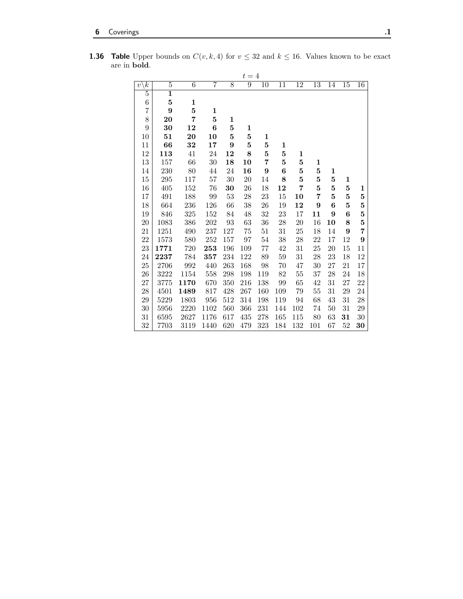|                                  |                         |                |         |          | $t=4$          |                  |                  |                 |                 |                 |                 |                 |
|----------------------------------|-------------------------|----------------|---------|----------|----------------|------------------|------------------|-----------------|-----------------|-----------------|-----------------|-----------------|
| $\overline{k}$<br>$\overline{v}$ | $\overline{5}$          | $\overline{6}$ | 7       | 8        | $\overline{9}$ | $\overline{10}$  | 11               | $\overline{12}$ | $\overline{13}$ | $\overline{14}$ | $\overline{15}$ | $\overline{16}$ |
| $\overline{5}$                   | $\overline{\mathbf{1}}$ |                |         |          |                |                  |                  |                 |                 |                 |                 |                 |
| 6                                | $\bf{5}$                | $\mathbf 1$    |         |          |                |                  |                  |                 |                 |                 |                 |                 |
| 7                                | 9                       | $\bf{5}$       | 1       |          |                |                  |                  |                 |                 |                 |                 |                 |
| 8                                | 20                      | 7              | 5       | 1        |                |                  |                  |                 |                 |                 |                 |                 |
| 9                                | 30                      | 12             | 6       | $\bf{5}$ | 1              |                  |                  |                 |                 |                 |                 |                 |
| 10                               | 51                      | 20             | 10      | $\bf{5}$ | $\bf{5}$       | 1                |                  |                 |                 |                 |                 |                 |
| 11                               | 66                      | 32             | 17      | 9        | 5              | $\bf{5}$         | 1                |                 |                 |                 |                 |                 |
| 12                               | 113                     | 41             | 24      | 12       | $\bf 8$        | $\bf{5}$         | $\bf{5}$         | 1               |                 |                 |                 |                 |
| 13                               | 157                     | 66             | 30      | 18       | 10             | 7                | $\bf{5}$         | 5               | 1               |                 |                 |                 |
| 14                               | 230                     | 80             | $44\,$  | 24       | 16             | $\boldsymbol{9}$ | $\boldsymbol{6}$ | $\bf{5}$        | $\bf{5}$        | $\mathbf{1}$    |                 |                 |
| $15\,$                           | 295                     | 117            | $57\,$  | 30       | 20             | 14               | 8                | $\bf{5}$        | $\bf{5}$        | $\bf{5}$        | 1               |                 |
| 16                               | 405                     | 152            | $76\,$  | 30       | 26             | 18               | 12               | $\overline{7}$  | $\overline{5}$  | $\bf{5}$        | $\bf{5}$        | 1               |
| 17                               | 491                     | 188            | 99      | 53       | 28             | 23               | 15               | 10              | 7               | $\mathbf{5}$    | $\bf{5}$        | 5               |
| $18\,$                           | 664                     | 236            | 126     | 66       | 38             | $26\,$           | 19               | 12              | 9               | 6               | $\bf{5}$        | $\bf{5}$        |
| 19                               | 846                     | 325            | 152     | 84       | 48             | 32               | 23               | 17              | 11              | 9               | 6               | $\overline{5}$  |
| 20                               | 1083                    | 386            | 202     | 93       | $63\,$         | $36\,$           | 28               | 20              | 16              | 10              | 8               | $\bf{5}$        |
| 21                               | 1251                    | 490            | 237     | 127      | 75             | 51               | 31               | 25              | 18              | 14              | 9               | $\overline{7}$  |
| 22                               | 1573                    | 580            | $252\,$ | 157      | $\rm 97$       | 54               | 38               | 28              | 22              | 17              | 12              | 9               |
| 23                               | 1771                    | 720            | 253     | 196      | 109            | 77               | 42               | 31              | 25              | 20              | 15              | 11              |
| 24                               | 2237                    | 784            | 357     | 234      | 122            | 89               | 59               | 31              | 28              | 23              | 18              | 12              |
| 25                               | 2706                    | 992            | 440     | 263      | 168            | 98               | 70               | 47              | 30              | 27              | 21              | 17              |
| 26                               | 3222                    | 1154           | 558     | 298      | 198            | 119              | $82\,$           | $55\,$          | 37              | 28              | 24              | 18              |
| $27\,$                           | 3775                    | 1170           | 670     | 350      | 216            | 138              | 99               | 65              | 42              | 31              | 27              | 22              |
| 28                               | 4501                    | 1489           | 817     | 428      | 267            | 160              | 109              | 79              | $55\,$          | 31              | 29              | 24              |
| 29                               | 5229                    | 1803           | 956     | 512      | 314            | 198              | 119              | 94              | 68              | 43              | 31              | $\sqrt{28}$     |
| 30                               | 5956                    | 2220           | 1102    | 560      | 366            | 231              | 144              | 102             | 74              | 50              | 31              | 29              |
| 31                               | 6595                    | 2627           | 1176    | 617      | 435            | 278              | 165              | 115             | 80              | 63              | 31              | $30\,$          |
| 32                               | 7703                    | 3119           | 1440    | 620      | 479            | 323              | 184              | 132             | 101             | 67              | 52              | 30              |

**1.36 Table** Upper bounds on  $C(v, k, 4)$  for  $v \le 32$  and  $k \le 16$ . Values known to be exact are in bold.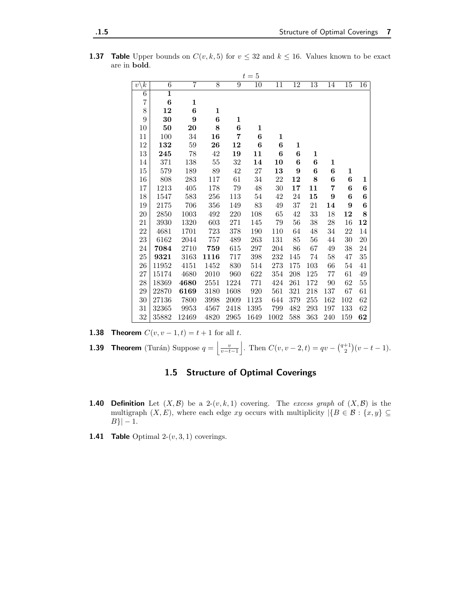| <b>1.37 Table</b> Upper bounds on $C(v, k, 5)$ for $v \le 32$ and $k \le 16$ . Values known to be exact |  |
|---------------------------------------------------------------------------------------------------------|--|
| are in <b>bold</b> .                                                                                    |  |

|                                |                         |              |        |              | $t=5$           |            |        |                 |              |        |                  |
|--------------------------------|-------------------------|--------------|--------|--------------|-----------------|------------|--------|-----------------|--------------|--------|------------------|
| $\boldsymbol{k}$<br>$\upsilon$ | $\overline{6}$          | 7            | 8      | 9            | $\overline{10}$ | 11         | 12     | $\overline{13}$ | 14           | $15\,$ | $\overline{16}$  |
| $\overline{6}$                 | $\overline{\mathbf{1}}$ |              |        |              |                 |            |        |                 |              |        |                  |
| $\overline{7}$                 | $\bf{6}$                | $\mathbf{1}$ |        |              |                 |            |        |                 |              |        |                  |
| $8\,$                          | 12                      | 6            | 1      |              |                 |            |        |                 |              |        |                  |
| $\boldsymbol{9}$               | 30                      | 9            | 6      | $\mathbf{1}$ |                 |            |        |                 |              |        |                  |
| 10                             | 50                      | 20           | 8      | 6            | 1               |            |        |                 |              |        |                  |
| 11                             | 100                     | 34           | 16     | 7            | 6               | 1          |        |                 |              |        |                  |
| 12                             | 132                     | $59\,$       | 26     | 12           | 6               | $\bf{6}$   | 1      |                 |              |        |                  |
| 13                             | 245                     | 78           | 42     | 19           | 11              | 6          | 6      | $\mathbf{1}$    |              |        |                  |
| 14                             | 371                     | 138          | $55\,$ | $32\,$       | 14              | ${\bf 10}$ | 6      | 6               | $\mathbf{1}$ |        |                  |
| $15\,$                         | 579                     | 189          | 89     | $42\,$       | $27\,$          | 13         | 9      | 6               | 6            | 1      |                  |
| 16                             | 808                     | 283          | 117    | 61           | 34              | 22         | 12     | 8               | $\bf{6}$     | 6      | 1                |
| 17                             | 1213                    | 405          | 178    | 79           | 48              | 30         | 17     | 11              | 7            | 6      | 6                |
| 18                             | 1547                    | 583          | 256    | 113          | 54              | $42\,$     | 24     | $15\,$          | 9            | 6      | 6                |
| 19                             | 2175                    | 706          | 356    | 149          | $83\,$          | $49\,$     | $37\,$ | 21              | 14           | 9      | $\boldsymbol{6}$ |
| 20                             | 2850                    | 1003         | 492    | 220          | 108             | 65         | 42     | 33              | 18           | 12     | 8                |
| 21                             | 3930                    | 1320         | 603    | 271          | 145             | $79\,$     | $56\,$ | $38\,$          | $28\,$       | 16     | 12               |
| 22                             | 4681                    | 1701         | 723    | 378          | 190             | 110        | 64     | $48\,$          | $34\,$       | 22     | $14\,$           |
| 23                             | 6162                    | 2044         | 757    | 489          | 263             | 131        | 85     | 56              | 44           | $30\,$ | $20\,$           |
| 24                             | 7084                    | 2710         | 759    | 615          | 297             | 204        | 86     | 67              | 49           | 38     | 24               |
| 25                             | 9321                    | 3163         | 1116   | 717          | 398             | 232        | 145    | 74              | 58           | 47     | $35\,$           |
| 26                             | 11952                   | 4151         | 1452   | 830          | 514             | 273        | 175    | 103             | 66           | $54\,$ | 41               |
| 27                             | 15174                   | 4680         | 2010   | 960          | 622             | 354        | 208    | $125\,$         | 77           | 61     | 49               |
| $28\,$                         | 18369                   | 4680         | 2551   | 1224         | 771             | 424        | 261    | 172             | 90           | 62     | $55\,$           |
| 29                             | 22870                   | 6169         | 3180   | 1608         | 920             | 561        | 321    | 218             | 137          | 67     | 61               |
| 30                             | 27136                   | 7800         | 3998   | $\,2009\,$   | 1123            | 644        | 379    | 255             | 162          | 102    | 62               |
| 31                             | 32365                   | 9953         | 4567   | 2418         | 1395            | 799        | 482    | 293             | 197          | 133    | 62               |
| 32                             | 35882                   | 12469        | 4820   | 2965         | 1649            | 1002       | 588    | 363             | 240          | 159    | 62               |

**1.38 Theorem**  $C(v, v - 1, t) = t + 1$  for all t.

**1.39 Theorem** (Turán) Suppose  $q = \left| \frac{v}{v-t-1} \right|$ . Then  $C(v, v-2, t) = qv - \binom{q+1}{2}(v-t-1)$ .

## 1.5 Structure of Optimal Coverings

- **1.40 Definition** Let  $(X, \mathcal{B})$  be a 2- $(v, k, 1)$  covering. The excess graph of  $(X, \mathcal{B})$  is the multigraph  $(X, E)$ , where each edge xy occurs with multiplicity  $|\{B \in \mathcal{B} : \{x, y\} \subseteq$  $|B| - 1.$
- **1.41 Table** Optimal  $2-(v, 3, 1)$  coverings.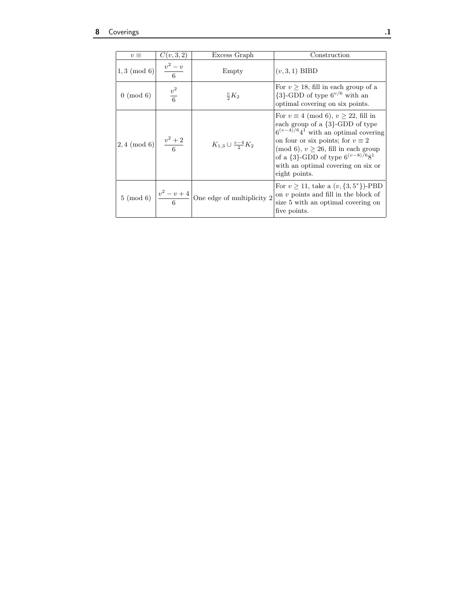| $v \equiv$                 | C(v, 3, 2)            | Excess Graph                                                          | Construction                                                                                                                                                                                                                                                                                                               |
|----------------------------|-----------------------|-----------------------------------------------------------------------|----------------------------------------------------------------------------------------------------------------------------------------------------------------------------------------------------------------------------------------------------------------------------------------------------------------------------|
| $1,3 \pmod{6}$             | $\frac{v^2-v}{6}$     | Empty                                                                 | $(v,3,1)$ BIBD                                                                                                                                                                                                                                                                                                             |
| $0 \pmod{6}$               | $\frac{v^2}{6}$       | $\frac{v}{2}K_2$                                                      | For $v > 18$ , fill in each group of a<br>$\{3\}$ -GDD of type $6^{v/6}$ with an<br>optimal covering on six points.                                                                                                                                                                                                        |
| $\vert 2,4 \pmod{6} \vert$ | $\frac{v^2+2}{\cdot}$ | $K_{1,3} \cup \frac{v-4}{2}K_2$                                       | For $v \equiv 4 \pmod{6}$ , $v > 22$ , fill in<br>each group of a {3}-GDD of type<br>$6^{(v-4)/6}4^1$ with an optimal covering<br>on four or six points; for $v \equiv 2$<br>(mod 6), $v \ge 26$ , fill in each group<br>of a $\{3\}$ -GDD of type $6^{(v-8)/6}8^1$<br>with an optimal covering on six or<br>eight points. |
|                            |                       | 5 (mod 6) $\left \frac{v^2-v+4}{6}\right $ One edge of multiplicity 2 | For $v \ge 11$ , take a $(v, \{3, 5^*\})$ -PBD<br>on $v$ points and fill in the block of<br>size 5 with an optimal covering on<br>five points.                                                                                                                                                                             |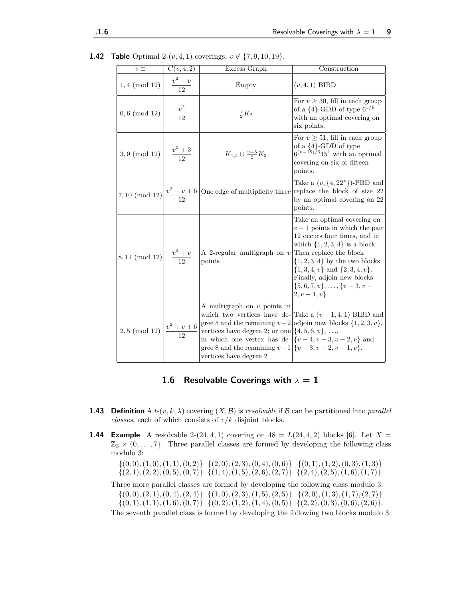| $v \equiv$                            | C(v, 4, 2)         | Excess Graph                                                                                                                                                                                                                                                                                                                                                                      | Construction                                                                                                                                                                                                                                                                                                             |
|---------------------------------------|--------------------|-----------------------------------------------------------------------------------------------------------------------------------------------------------------------------------------------------------------------------------------------------------------------------------------------------------------------------------------------------------------------------------|--------------------------------------------------------------------------------------------------------------------------------------------------------------------------------------------------------------------------------------------------------------------------------------------------------------------------|
| $1,4 \pmod{12}$                       | $\frac{v^2-v}{12}$ | Empty                                                                                                                                                                                                                                                                                                                                                                             | $(v, 4, 1)$ BIBD                                                                                                                                                                                                                                                                                                         |
| $0, 6 \pmod{12}$                      | $\frac{v^2}{12}$   | $\frac{v}{2}K_2$                                                                                                                                                                                                                                                                                                                                                                  | For $v \geq 30$ , fill in each group<br>of a $\{4\}$ -GDD of type $6^{v/6}$<br>with an optimal covering on<br>six points.                                                                                                                                                                                                |
| $3,9\ ({\rm mod}\ 12)$                | $\frac{v^2+3}{12}$ | $K_{1,4} \cup \frac{v-5}{2}K_2$                                                                                                                                                                                                                                                                                                                                                   | For $v \geq 51$ , fill in each group<br>of a ${4}$ -GDD of type<br>$6^{(v-15)/6}15^1$ with an optimal<br>covering on six or fifteen<br>points.                                                                                                                                                                           |
|                                       |                    | 7, 10 (mod 12) $\left  \frac{v^2 - v + 6}{12} \right $ One edge of multiplicity three                                                                                                                                                                                                                                                                                             | Take a $(v, \{4, 22^*\})$ -PBD and<br>replace the block of size 22<br>by an optimal covering on 22<br>points.                                                                                                                                                                                                            |
| $8,11\mbox{ (mod }12)$                | $\frac{v^2+v}{12}$ | A 2-regular multigraph on $\boldsymbol{v}$<br>points                                                                                                                                                                                                                                                                                                                              | Take an optimal covering on<br>$v-1$ points in which the pair<br>12 occurs four times, and in<br>which $\{1, 2, 3, 4\}$ is a block.<br>Then replace the block<br>$\{1, 2, 3, 4\}$ by the two blocks<br>$\{1,3,4,v\}$ and $\{2,3,4,v\}$ .<br>Finally, adjoin new blocks<br>$\{5,6,7,v\},\ldots,\{v-3,v-$<br>$2, v-1, v$ . |
| 2,5 (mod 12) $\frac{v^2 + v + 6}{12}$ |                    | A multigraph on $v$ points in<br>which two vertices have de- Take a $(v-1,4,1)$ BIBD and<br>gree 5 and the remaining $v-2$ adjoin new blocks $\{1,2,3,v\}$ ,<br>vertices have degree 2; or one $\{4, 5, 6, v\}, \ldots$<br>in which one vertex has de- $\left[\{v-4, v-3, v-2, v\right\}$ and<br>gree 8 and the remaining $v-1$ $\{v-3, v-2, v-1, v\}.$<br>vertices have degree 2 |                                                                                                                                                                                                                                                                                                                          |

**1.42 Table** Optimal 2- $(v, 4, 1)$  coverings,  $v \notin \{7, 9, 10, 19\}.$ 

## 1.6 Resolvable Coverings with  $\lambda = 1$

- **1.43** Definition A  $t$ - $(v, k, \lambda)$  covering  $(X, \mathcal{B})$  is *resolvable* if  $\mathcal{B}$  can be partitioned into *parallel* classes, each of which consists of  $v/k$  disjoint blocks.
- **1.44 Example** A resolvable 2-(24, 4, 1) covering on  $48 = L(24, 4, 2)$  blocks [6]. Let  $X =$  $\mathbb{Z}_3 \times \{0, \ldots, 7\}$ . Three parallel classes are formed by developing the following class modulo 3:

 $\{(0,0), (1,0), (1, 1), (0, 2)\}\{(2, 0), (2, 3), (0, 4), (0, 6)\}\{(0, 1), (1, 2), (0, 3), (1, 3)\}\$  $\{(2, 1), (2, 2), (0, 5), (0, 7)\}\{(1, 4), (1, 5), (2, 6), (2, 7)\}\{(2, 4), (2, 5), (1, 6), (1, 7)\}.$ 

Three more parallel classes are formed by developing the following class modulo 3:  $\{(0,0), (2, 1), (0, 4), (2, 4)\}\{(1, 0), (2, 3), (1, 5), (2, 5)\}\{(2, 0), (1, 3), (1, 7), (2, 7)\}\$  $\{(0, 1), (1, 1), (1, 6), (0, 7)\}\{(0, 2), (1, 2), (1, 4), (0, 5)\}\{(2, 2), (0, 3), (0, 6), (2, 6)\}.$ 

The seventh parallel class is formed by developing the following two blocks modulo 3: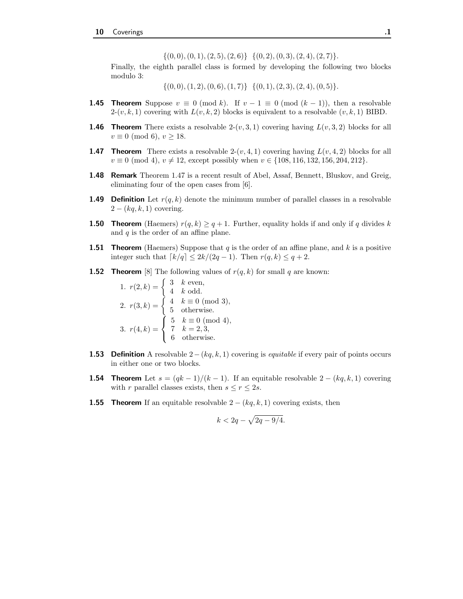$\{(0, 0), (0, 1), (2, 5), (2, 6)\}\{(0, 2), (0, 3), (2, 4), (2, 7)\}.$ 

Finally, the eighth parallel class is formed by developing the following two blocks modulo 3:

 $\{(0, 0), (1, 2), (0, 6), (1, 7)\}\{(0, 1), (2, 3), (2, 4), (0, 5)\}.$ 

- **1.45 Theorem** Suppose  $v \equiv 0 \pmod{k}$ . If  $v 1 \equiv 0 \pmod{(k-1)}$ , then a resolvable  $2-(v, k, 1)$  covering with  $L(v, k, 2)$  blocks is equivalent to a resolvable  $(v, k, 1)$  BIBD.
- **1.46 Theorem** There exists a resolvable  $2-(v, 3, 1)$  covering having  $L(v, 3, 2)$  blocks for all  $v \equiv 0 \pmod{6}$ ,  $v \ge 18$ .
- **1.47 Theorem** There exists a resolvable  $2-(v, 4, 1)$  covering having  $L(v, 4, 2)$  blocks for all  $v \equiv 0 \pmod{4}$ ,  $v \neq 12$ , except possibly when  $v \in \{108, 116, 132, 156, 204, 212\}$ .
- **1.48 Remark** Theorem 1.47 is a recent result of Abel, Assaf, Bennett, Bluskov, and Greig, eliminating four of the open cases from [6].
- **1.49 Definition** Let  $r(q, k)$  denote the minimum number of parallel classes in a resolvable  $2 - (kq, k, 1)$  covering.
- **1.50 Theorem** (Haemers)  $r(q, k) \geq q+1$ . Further, equality holds if and only if q divides k and  $q$  is the order of an affine plane.
- **1.51 Theorem** (Haemers) Suppose that  $q$  is the order of an affine plane, and  $k$  is a positive integer such that  $\lceil k/q \rceil \leq 2k/(2q-1)$ . Then  $r(q, k) \leq q+2$ .
- **1.52 Theorem** [8] The following values of  $r(q, k)$  for small q are known:

1. 
$$
r(2, k) = \begin{cases} 3 & k \text{ even,} \\ 4 & k \text{ odd.} \end{cases}
$$
  
\n2.  $r(3, k) = \begin{cases} 4 & k \equiv 0 \pmod{3}, \\ 5 & \text{otherwise.} \end{cases}$   
\n3.  $r(4, k) = \begin{cases} 5 & k \equiv 0 \pmod{4}, \\ 7 & k = 2, 3, \\ 6 & \text{otherwise.} \end{cases}$ 

- **1.53** Definition A resolvable  $2-(kq, k, 1)$  covering is *equitable* if every pair of points occurs in either one or two blocks.
- **1.54 Theorem** Let  $s = (qk-1)/(k-1)$ . If an equitable resolvable  $2 (kq, k, 1)$  covering with r parallel classes exists, then  $s \le r \le 2s$ .
- **1.55 Theorem** If an equitable resolvable  $2 (kq, k, 1)$  covering exists, then

$$
k < 2q - \sqrt{2q - 9/4}.
$$